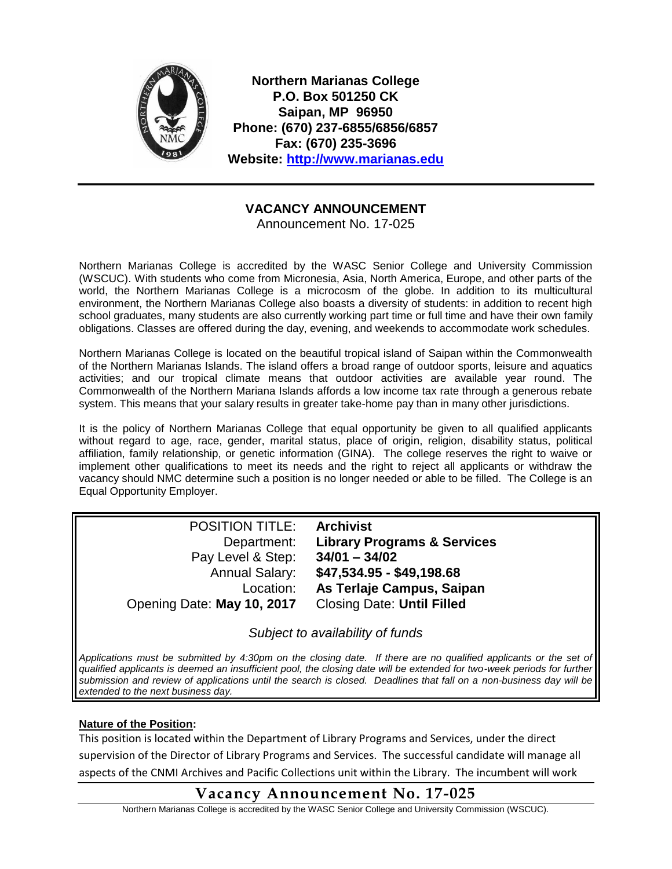

**Northern Marianas College P.O. Box 501250 CK Saipan, MP 96950 Phone: (670) 237-6855/6856/6857 Fax: (670) 235-3696 Website: [http://www.marianas.edu](http://www.marianas.edu/)**

## **VACANCY ANNOUNCEMENT**

Announcement No. 17-025

Northern Marianas College is accredited by the WASC Senior College and University Commission (WSCUC). With students who come from Micronesia, Asia, North America, Europe, and other parts of the world, the Northern Marianas College is a microcosm of the globe. In addition to its multicultural environment, the Northern Marianas College also boasts a diversity of students: in addition to recent high school graduates, many students are also currently working part time or full time and have their own family obligations. Classes are offered during the day, evening, and weekends to accommodate work schedules.

Northern Marianas College is located on the beautiful tropical island of Saipan within the Commonwealth of the Northern Marianas Islands. The island offers a broad range of outdoor sports, leisure and aquatics activities; and our tropical climate means that outdoor activities are available year round. The Commonwealth of the Northern Mariana Islands affords a low income tax rate through a generous rebate system. This means that your salary results in greater take-home pay than in many other jurisdictions.

It is the policy of Northern Marianas College that equal opportunity be given to all qualified applicants without regard to age, race, gender, marital status, place of origin, religion, disability status, political affiliation, family relationship, or genetic information (GINA). The college reserves the right to waive or implement other qualifications to meet its needs and the right to reject all applicants or withdraw the vacancy should NMC determine such a position is no longer needed or able to be filled. The College is an Equal Opportunity Employer.

| <b>POSITION TITLE:</b>     | <b>Archivist</b>                       |
|----------------------------|----------------------------------------|
| Department:                | <b>Library Programs &amp; Services</b> |
| Pay Level & Step:          | $34/01 - 34/02$                        |
| <b>Annual Salary:</b>      | \$47,534.95 - \$49,198.68              |
| Location:                  | As Terlaje Campus, Saipan              |
| Opening Date: May 10, 2017 | <b>Closing Date: Until Filled</b>      |

*Subject to availability of funds*

*Applications must be submitted by 4:30pm on the closing date. If there are no qualified applicants or the set of qualified applicants is deemed an insufficient pool, the closing date will be extended for two-week periods for further submission and review of applications until the search is closed. Deadlines that fall on a non-business day will be extended to the next business day.*

### **Nature of the Position:**

This position is located within the Department of Library Programs and Services, under the direct supervision of the Director of Library Programs and Services. The successful candidate will manage all aspects of the CNMI Archives and Pacific Collections unit within the Library. The incumbent will work

# **Vacancy Announcement No. 17-025**

Northern Marianas College is accredited by the WASC Senior College and University Commission (WSCUC).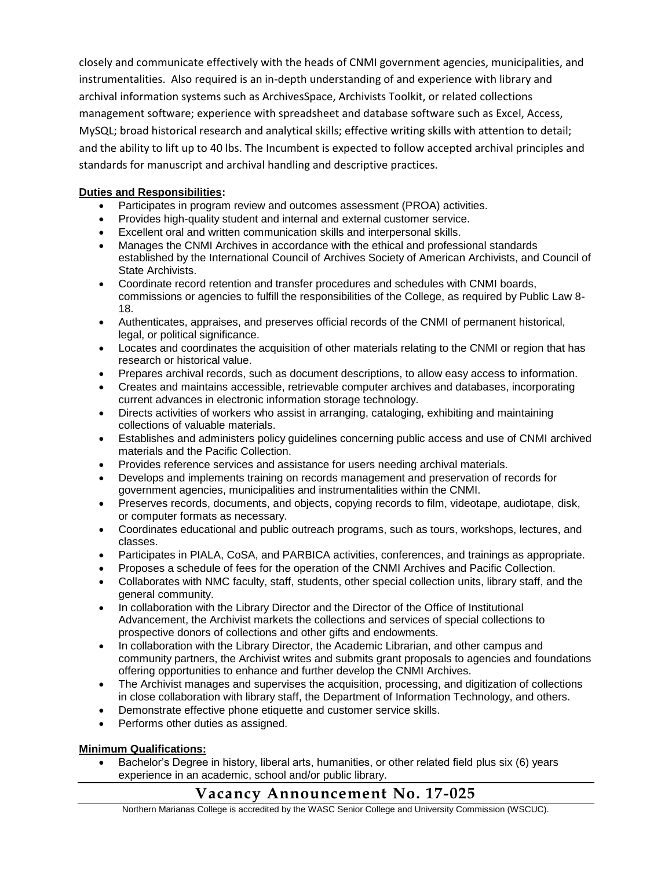closely and communicate effectively with the heads of CNMI government agencies, municipalities, and instrumentalities. Also required is an in-depth understanding of and experience with library and archival information systems such as ArchivesSpace, Archivists Toolkit, or related collections management software; experience with spreadsheet and database software such as Excel, Access, MySQL; broad historical research and analytical skills; effective writing skills with attention to detail; and the ability to lift up to 40 lbs. The Incumbent is expected to follow accepted archival principles and standards for manuscript and archival handling and descriptive practices.

### **Duties and Responsibilities:**

- Participates in program review and outcomes assessment (PROA) activities.
- Provides high-quality student and internal and external customer service.
- Excellent oral and written communication skills and interpersonal skills.
- Manages the CNMI Archives in accordance with the ethical and professional standards established by the International Council of Archives Society of American Archivists, and Council of State Archivists.
- Coordinate record retention and transfer procedures and schedules with CNMI boards, commissions or agencies to fulfill the responsibilities of the College, as required by Public Law 8- 18.
- Authenticates, appraises, and preserves official records of the CNMI of permanent historical, legal, or political significance.
- Locates and coordinates the acquisition of other materials relating to the CNMI or region that has research or historical value.
- Prepares archival records, such as document descriptions, to allow easy access to information.
- Creates and maintains accessible, retrievable computer archives and databases, incorporating current advances in electronic information storage technology.
- Directs activities of workers who assist in arranging, cataloging, exhibiting and maintaining collections of valuable materials.
- Establishes and administers policy guidelines concerning public access and use of CNMI archived materials and the Pacific Collection.
- Provides reference services and assistance for users needing archival materials.
- Develops and implements training on records management and preservation of records for government agencies, municipalities and instrumentalities within the CNMI.
- Preserves records, documents, and objects, copying records to film, videotape, audiotape, disk, or computer formats as necessary.
- Coordinates educational and public outreach programs, such as tours, workshops, lectures, and classes.
- Participates in PIALA, CoSA, and PARBICA activities, conferences, and trainings as appropriate.
- Proposes a schedule of fees for the operation of the CNMI Archives and Pacific Collection.
- Collaborates with NMC faculty, staff, students, other special collection units, library staff, and the general community.
- In collaboration with the Library Director and the Director of the Office of Institutional Advancement, the Archivist markets the collections and services of special collections to prospective donors of collections and other gifts and endowments.
- In collaboration with the Library Director, the Academic Librarian, and other campus and community partners, the Archivist writes and submits grant proposals to agencies and foundations offering opportunities to enhance and further develop the CNMI Archives.
- The Archivist manages and supervises the acquisition, processing, and digitization of collections in close collaboration with library staff, the Department of Information Technology, and others.
- Demonstrate effective phone etiquette and customer service skills.
- Performs other duties as assigned.

### **Minimum Qualifications:**

 Bachelor's Degree in history, liberal arts, humanities, or other related field plus six (6) years experience in an academic, school and/or public library.

## **Vacancy Announcement No. 17-025**